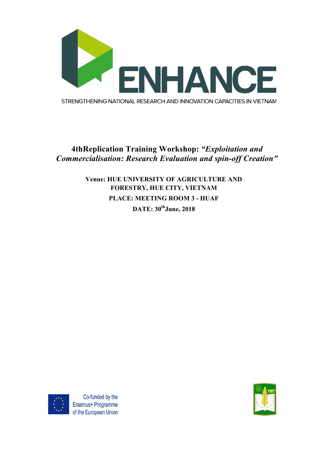

## **4thReplication Training Workshop:** *"Exploitation and Commercialisation: Research Evaluation and spin-off Creation"*

## **Venue: HUE UNIVERSITY OF AGRICULTURE AND FORESTRY, HUE CITY, VIETNAM PLACE: MEETING ROOM 3 - HUAF DATE: 30thJune, 2018**



Co-funded by the Erasmus+ Programme of the European Union

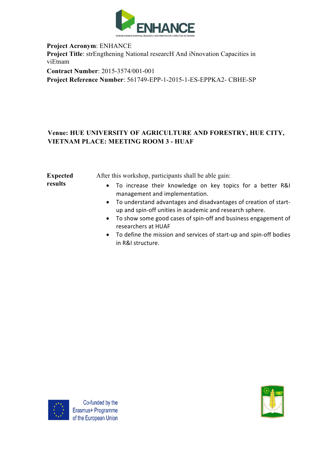

**Project Acronym**: ENHANCE **Project Title**: strEngthening National researcH And iNnovation Capacities in viEtnam **Contract Number**: 2015-3574/001-001

**Project Reference Number**: 561749-EPP-1-2015-1-ES-EPPKA2- CBHE-SP

## **Venue: HUE UNIVERSITY OF AGRICULTURE AND FORESTRY, HUE CITY, VIETNAM PLACE: MEETING ROOM 3 - HUAF**

| <b>Expected</b> | After this workshop, participants shall be able gain:                                                                          |
|-----------------|--------------------------------------------------------------------------------------------------------------------------------|
| results         | • To increase their knowledge on key topics for a better R&I<br>management and implementation.                                 |
|                 | • To understand advantages and disadvantages of creation of start-<br>up and spin-off unities in academic and research sphere. |
|                 | • To show some good cases of spin-off and business engagement of<br>researchers at HUAF                                        |

• To define the mission and services of start-up and spin-off bodies in R&I structure.